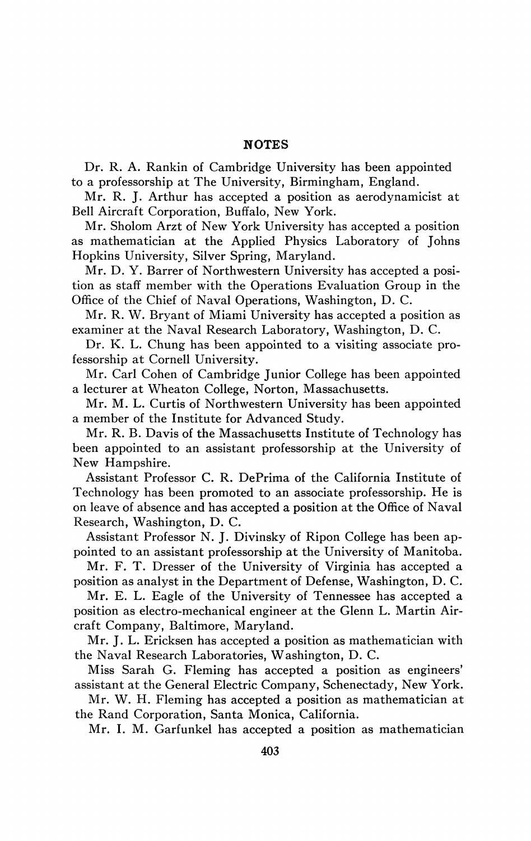## **NOTES**

Dr. R. A. Rankin of Cambridge University has been appointed to a professorship at The University, Birmingham, England.

Mr. R. J. Arthur has accepted a position as aerodynamicist at Bell Aircraft Corporation, Buffalo, New York.

Mr. Sholom Arzt of New York University has accepted a position as mathematician at the Applied Physics Laboratory of Johns Hopkins University, Silver Spring, Maryland.

Mr. D. Y. Barrer of Northwestern University has accepted a position as staff member with the Operations Evaluation Group in the Office of the Chief of Naval Operations, Washington, D. C.

Mr. R. W. Bryant of Miami University has accepted a position as examiner at the Naval Research Laboratory, Washington, D. C.

Dr. K. L. Chung has been appointed to a visiting associate professorship at Cornell University.

Mr. Carl Cohen of Cambridge Junior College has been appointed a lecturer at Wheaton College, Norton, Massachusetts.

Mr. M. L. Curtis of Northwestern University has been appointed a member of the Institute for Advanced Study.

Mr. R. B. Davis of the Massachusetts Institute of Technology has been appointed to an assistant professorship at the University of New Hampshire.

Assistant Professor C. R. DePrima of the California Institute of Technology has been promoted to an associate professorship. He is on leave of absence and has accepted a position at the Office of Naval Research, Washington, D. C.

Assistant Professor N. J. Divinsky of Ripon College has been appointed to an assistant professorship at the University of Manitoba.

Mr. F. T. Dresser of the University of Virginia has accepted a position as analyst in the Department of Defense, Washington, D. C.

Mr. E. L. Eagle of the University of Tennessee has accepted a position as electro-mechanical engineer at the Glenn L. Martin Aircraft Company, Baltimore, Maryland.

Mr. J. L. Ericksen has accepted a position as mathematician with the Naval Research Laboratories, Washington, D. C.

Miss Sarah G. Fleming has accepted a position as engineers' assistant at the General Electric Company, Schenectady, New York.

Mr. W. H. Fleming has accepted a position as mathematician at the Rand Corporation, Santa Monica, California.

Mr. I. M. Garfunkel has accepted a position as mathematician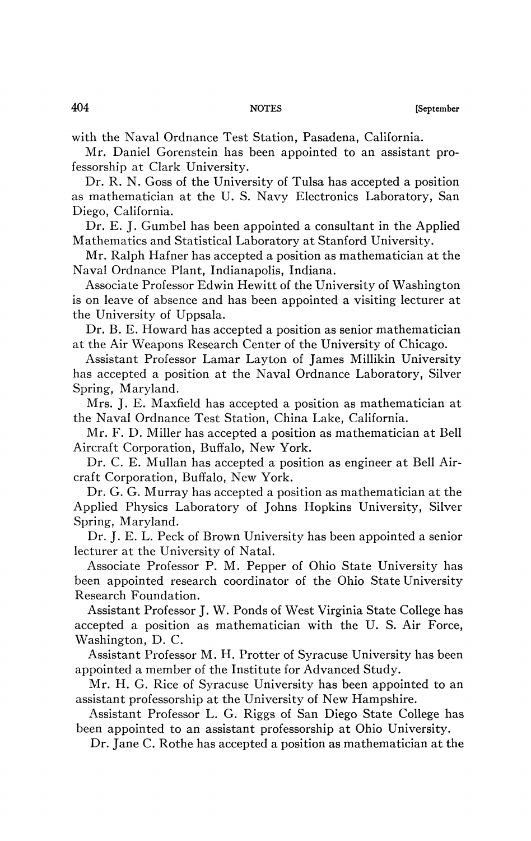with the Naval Ordnance Test Station, Pasadena, California.

Mr. Daniel Gorenstein has been appointed to an assistant professorship at Clark University.

Dr. R. N. Goss of the University of Tulsa has accepted a position as mathematician at the U. S. Navy Electronics Laboratory, San Diego, California.

Dr. E. J. Gumbel has been appointed a consultant in the Applied Mathematics and Statistical Laboratory at Stanford University.

Mr. Ralph Hafner has accepted a position as mathematician at the Naval Ordnance Plant, Indianapolis, Indiana.

Associate Professor Edwin Hewitt of the University of Washington is on leave of absence and has been appointed a visiting lecturer at the University of Uppsala.

Dr. B. E. Howard has accepted a position as senior mathematician at the Air Weapons Research Center of the University of Chicago.

Assistant Professor Lamar Layton of James Millikin University has accepted a position at the Naval Ordnance Laboratory, Silver Spring, Maryland.

Mrs. J. E. Maxfield has accepted a position as mathematician at the Naval Ordnance Test Station, China Lake, California.

Mr. F. D. Miller has accepted a position as mathematician at Bell Aircraft Corporation, Buffalo, New York.

Dr. C. E. Mullan has accepted a position as engineer at Bell Aircraft Corporation, Buffalo, New York.

Dr. G. G. Murray has accepted a position as mathematician at the Applied Physics Laboratory of Johns Hopkins University, Silver Spring, Maryland.

Dr. J. E. L. Peck of Brown University has been appointed a senior lecturer at the University of Natal.

Associate Professor P. M. Pepper of Ohio State University has been appointed research coordinator of the Ohio State University Research Foundation.

Assistant Professor J. W. Ponds of West Virginia State College has accepted a position as mathematician with the U. S. Air Force, Washington, D. C.

Assistant Professor M. H. Protter of Syracuse University has been appointed a member of the Institute for Advanced Study.

Mr. H. G. Rice of Syracuse University has been appointed to an assistant professorship at the University of New Hampshire.

Assistant Professor L. G. Riggs of San Diego State College has been appointed to an assistant professorship at Ohio University.

Dr. Jane C. Rothe has accepted a position as mathematician at the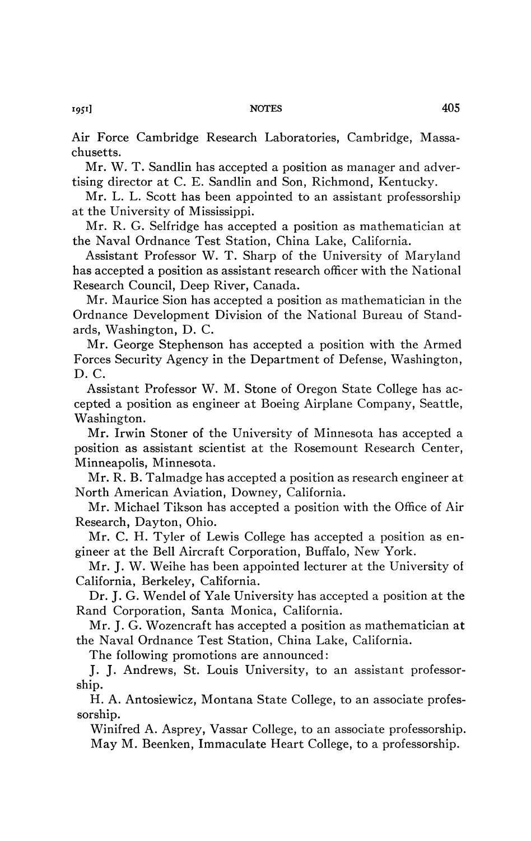Air Force Cambridge Research Laboratories, Cambridge, Massachusetts.

Mr. W. T. Sandlin has accepted a position as manager and advertising director at C. E. Sandlin and Son, Richmond, Kentucky.

Mr. L. L. Scott has been appointed to an assistant professorship at the University of Mississippi.

Mr. R. G. Selfridge has accepted a position as mathematician at the Naval Ordnance Test Station, China Lake, California.

Assistant Professor W. T. Sharp of the University of Maryland has accepted a position as assistant research officer with the National Research Council, Deep River, Canada.

Mr. Maurice Sion has accepted a position as mathematician in the Ordnance Development Division of the National Bureau of Standards, Washington, D. C.

Mr. George Stephenson has accepted a position with the Armed Forces Security Agency in the Department of Defense, Washington, D. C.

Assistant Professor W. M. Stone of Oregon State College has accepted a position as engineer at Boeing Airplane Company, Seattle, Washington.

Mr. Irwin Stoner of the University of Minnesota has accepted a position as assistant scientist at the Rosemount Research Center, Minneapolis, Minnesota.

Mr. R. B. Talmadge has accepted a position as research engineer at North American Aviation, Downey, California.

Mr. Michael Tikson has accepted a position with the Office of Air Research, Dayton, Ohio.

Mr. C. H. Tyler of Lewis College has accepted a position as engineer at the Bell Aircraft Corporation, Buffalo, New York.

Mr. J. W. Weihe has been appointed lecturer at the University of California, Berkeley, California.

Dr. J. G. Wendel of Yale University has accepted a position at the Rand Corporation, Santa Monica, California.

Mr. J. G. Wozencraft has accepted a position as mathematician at the Naval Ordnance Test Station, China Lake, California.

The following promotions are announced:

J. J. Andrews, St. Louis University, to an assistant professorship.

H. A. Antosiewicz, Montana State College, to an associate professorship.

Winifred A. Asprey, Vassar College, to an associate professorship. May M. Beenken, Immaculate Heart College, to a professorship.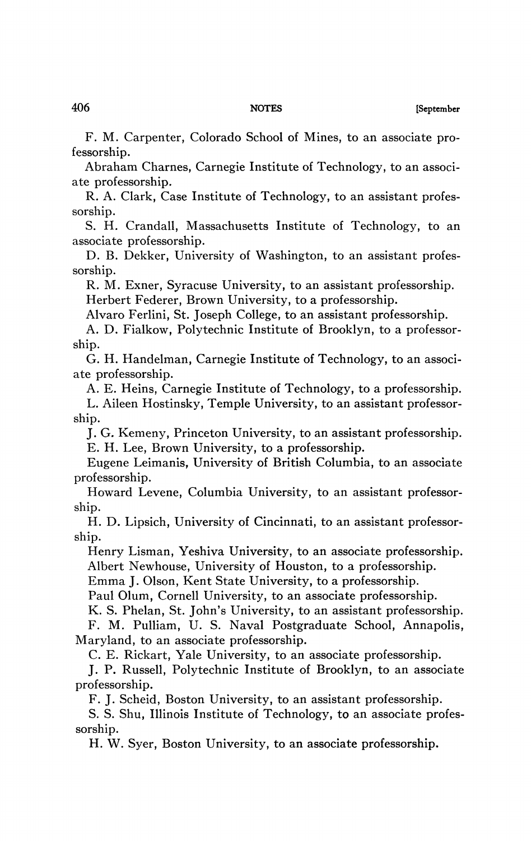F. M. Carpenter, Colorado School of Mines, to an associate professorship.

Abraham Charnes, Carnegie Institute of Technology, to an associate professorship.

R. A. Clark, Case Institute of Technology, to an assistant professorship.

S. H. Crandall, Massachusetts Institute of Technology, to an associate professorship.

D. B. Dekker, University of Washington, to an assistant professorship.

R. M. Exner, Syracuse University, to an assistant professorship. Herbert Federer, Brown University, to a professorship.

Alvaro Ferlini, St. Joseph College, to an assistant professorship.

A. D. Fialkow, Polytechnic Institute of Brooklyn, to a professorship.

G. H. Handelman, Carnegie Institute of Technology, to an associate professorship.

A. E. Heins, Carnegie Institute of Technology, to a professorship.

L. Aileen Hostinsky, Temple University, to an assistant professorship.

J. G. Kemeny, Princeton University, to an assistant professorship. E. H. Lee, Brown University, to a professorship.

Eugene Leimanis, University of British Columbia, to an associate professorship.

Howard Levene, Columbia University, to an assistant professorship.

H. D. Lipsich, University of Cincinnati, to an assistant professorship.

Henry Lisman, Yeshiva University, to an associate professorship. Albert Newhouse, University of Houston, to a professorship.

Emma J. Olson, Kent State University, to a professorship.

Paul Olum, Cornell University, to an associate professorship.

K. S. Phelan, St. John's University, to an assistant professorship. F. M. Pulliam, U. S. Naval Postgraduate School, Annapolis, Maryland, to an associate professorship.

C. E. Rickart, Yale University, to an associate professorship.

J. P. Russell, Polytechnic Institute of Brooklyn, to an associate professorship.

F. J. Scheid, Boston University, to an assistant professorship.

S. S. Shu, Illinois Institute of Technology, to an associate professorship.

H. W. Syer, Boston University, to an associate professorship.